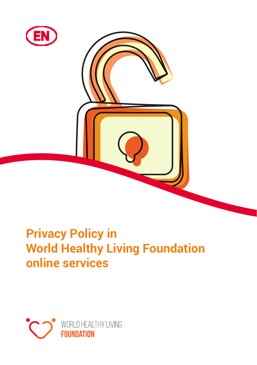

# **Privacy Policy in World Healthy Living Foundation online services**

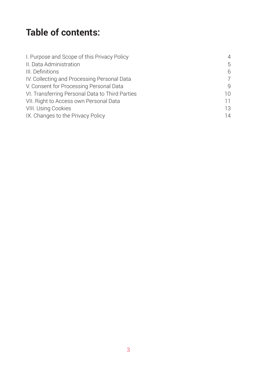# **Table of contents:**

| I. Purpose and Scope of this Privacy Policy     | 4  |
|-------------------------------------------------|----|
| II. Data Administration                         | 5  |
| III. Definitions                                | 6  |
| IV. Collecting and Processing Personal Data     | 7  |
| V. Consent for Processing Personal Data         | q  |
| VI. Transferring Personal Data to Third Parties | 10 |
| VII. Right to Access own Personal Data          | 11 |
| VIII. Using Cookies                             | 13 |
| IX. Changes to the Privacy Policy               | 14 |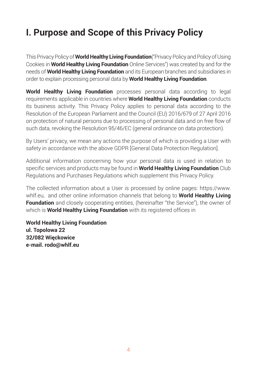# **I. Purpose and Scope of this Privacy Policy**

This Privacy Policy of **World Healthy Living Foundation**("Privacy Policy and Policy of Using Cookies in **World Healthy Living Foundation** Online Services") was created by and for the needs of **World Healthy Living Foundation** and its European branches and subsidiaries in order to explain processing personal data by **World Healthy Living Foundation**.

**World Healthy Living Foundation** processes personal data according to legal requirements applicable in countries where **World Healthy Living Foundation** conducts its business activity. This Privacy Policy applies to personal data according to the Resolution of the European Parliament and the Council (EU) 2016/679 of 27 April 2016 on protection of natural persons due to processing of personal data and on free flow of such data, revoking the Resolution 95/46/EC (general ordinance on data protection).

By Users' privacy, we mean any actions the purpose of which is providing a User with safety in accordance with the above GDPR [General Data Protection Regulation].

Additional information concerning how your personal data is used in relation to specific services and products may be found in **World Healthy Living Foundation** Club Regulations and Purchases Regulations which supplement this Privacy Policy.

The collected information about a User is processed by online pages: https://www. whlf.eu, and other online information channels that belong to **World Healthy Living Foundation** and closely cooperating entities, (hereinafter "the Service"), the owner of which is **World Healthy Living Foundation** with its registered offices in

**World Healthy Living Foundation ul. Topolowa 22 32/082 Więckowice e-mail. rodo@whlf.eu**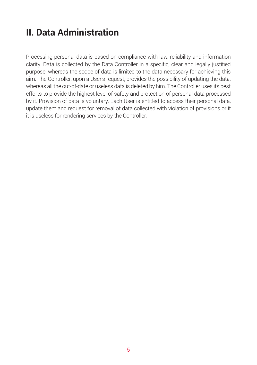#### **II. Data Administration**

Processing personal data is based on compliance with law, reliability and information clarity. Data is collected by the Data Controller in a specific, clear and legally justified purpose, whereas the scope of data is limited to the data necessary for achieving this aim. The Controller, upon a User's request, provides the possibility of updating the data, whereas all the out-of-date or useless data is deleted by him. The Controller uses its best efforts to provide the highest level of safety and protection of personal data processed by it. Provision of data is voluntary. Each User is entitled to access their personal data, update them and request for removal of data collected with violation of provisions or if it is useless for rendering services by the Controller.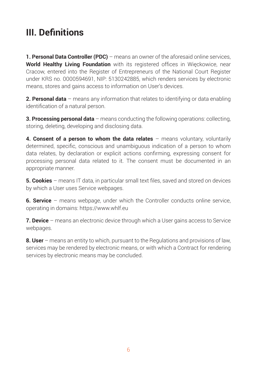#### **III. Definitions**

**1. Personal Data Controller (PDC)** – means an owner of the aforesaid online services, **World Healthy Living Foundation** with its registered offices in Więckowice, near Cracow, entered into the Register of Entrepreneurs of the National Court Register under KRS no. 0000594691, NIP: 5130242885, which renders services by electronic means, stores and gains access to information on User's devices.

**2. Personal data** – means any information that relates to identifying or data enabling identification of a natural person.

**3. Processing personal data** – means conducting the following operations: collecting, storing, deleting, developing and disclosing data.

**4. Consent of a person to whom the data relates** – means voluntary, voluntarily determined, specific, conscious and unambiguous indication of a person to whom data relates, by declaration or explicit actions confirming, expressing consent for processing personal data related to it. The consent must be documented in an appropriate manner.

**5. Cookies** – means IT data, in particular small text files, saved and stored on devices by which a User uses Service webpages.

**6. Service** – means webpage, under which the Controller conducts online service, operating in domains: https://www.whlf.eu

**7. Device** – means an electronic device through which a User gains access to Service webpages.

**8. User** – means an entity to which, pursuant to the Regulations and provisions of law, services may be rendered by electronic means, or with which a Contract for rendering services by electronic means may be concluded.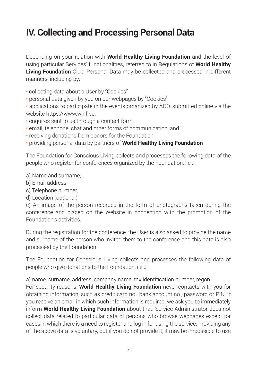#### **IV. Collecting and Processing Personal Data**

Depending on your relation with **World Healthy Living Foundation** and the level of using particular Services' functionalities, referred to in Regulations of **World Healthy Living Foundation** Club, Personal Data may be collected and processed in different manners, including by:

- collecting data about a User by "Cookies"
- personal data given by you on our webpages by "Cookies",
- applications to participate in the events organized by ADO, submitted online via the website https://www.whlf.eu,
- enquires sent to us through a contact form.
- email, telephone, chat and other forms of communication, and
- receiving donations from donors for the Foundation,
- providing personal data by partners of **World Healthy Living Foundation**

The Foundation for Conscious Living collects and processes the following data of the people who register for conferences organized by the Foundation, i.e .:

- a) Name and surname,
- b) Email address,
- c) Telephone number,
- d) Location (optional)

e) An image of the person recorded in the form of photographs taken during the conference and placed on the Website in connection with the promotion of the Foundation's activities.

During the registration for the conference, the User is also asked to provide the name and surname of the person who invited them to the conference and this data is also processed by the Foundation.

The Foundation for Conscious Living collects and processes the following data of people who give donations to the Foundation, i.e .:

a) name, surname, address, company name, tax identification number, regon For security reasons, **World Healthy Living Foundation** never contacts with you for obtaining information, such as credit card no., bank account no., password or PIN. If you receive an email in which such information is required, we ask you to immediately inform **World Healthy Living Foundation** about that. Service Administrator does not collect data related to particular data of persons who browse webpages except for cases in which there is a need to register and log in for using the service. Providing any of the above data is voluntary, but if you do not provide it, it may be impossible to use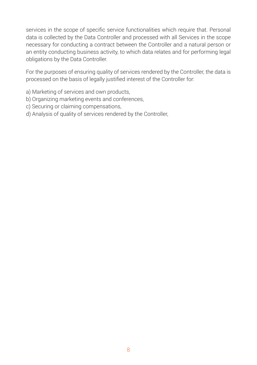services in the scope of specific service functionalities which require that. Personal data is collected by the Data Controller and processed with all Services in the scope necessary for conducting a contract between the Controller and a natural person or an entity conducting business activity, to which data relates and for performing legal obligations by the Data Controller.

For the purposes of ensuring quality of services rendered by the Controller, the data is processed on the basis of legally justified interest of the Controller for:

- a) Marketing of services and own products,
- b) Organizing marketing events and conferences,
- c) Securing or claiming compensations,
- d) Analysis of quality of services rendered by the Controller,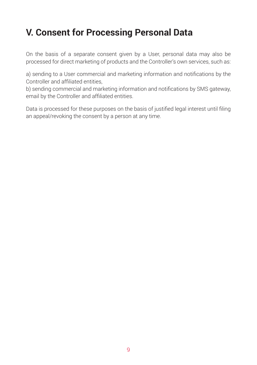### **V. Consent for Processing Personal Data**

On the basis of a separate consent given by a User, personal data may also be processed for direct marketing of products and the Controller's own services, such as:

a) sending to a User commercial and marketing information and notifications by the Controller and affiliated entities,

b) sending commercial and marketing information and notifications by SMS gateway, email by the Controller and affiliated entities.

Data is processed for these purposes on the basis of justified legal interest until filing an appeal/revoking the consent by a person at any time.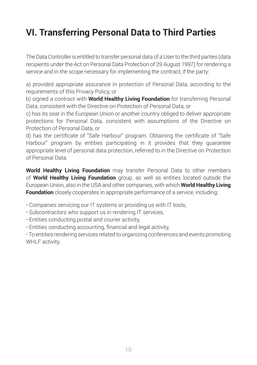# **VI. Transferring Personal Data to Third Parties**

The Data Controller is entitled to transfer personal data of a User to the third parties (data recipients under the Act on Personal Data Protection of 29 August 1997) for rendering a service and in the scope necessary for implementing the contract, if the party:

a) provided appropriate assurance in protection of Personal Data, according to the requirements of this Privacy Policy, or

b) signed a contract with **World Healthy Living Foundation** for transferring Personal Data, consistent with the Directive on Protection of Personal Data, or

c) has its seat in the European Union or another country obliged to deliver appropriate protections for Personal Data, consistent with assumptions of the Directive on Protection of Personal Data, or

d) has the certificate of "Safe Harbour" program. Obtaining the certificate of "Safe Harbour" program by entities participating in it provides that they guarantee appropriate level of personal data protection, referred to in the Directive on Protection of Personal Data.

**World Healthy Living Foundation** may transfer Personal Data to other members of **World Healthy Living Foundation** group, as well as entities located outside the European Union, also in the USA and other companies, with which **World Healthy Living Foundation** closely cooperates in appropriate performance of a service, including:

- Companies servicing our IT systems or providing us with IT tools,
- Subcontractors who support us in rendering IT services,
- Entities conducting postal and courier activity,
- Entities conducting accounting, financial and legal activity,

• To entities rendering services related to organizing conferences and events promoting WHLF activity.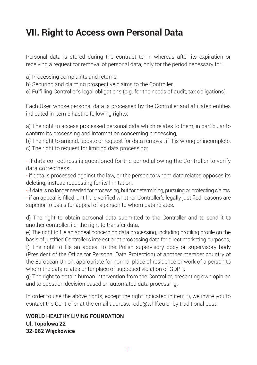#### **VII. Right to Access own Personal Data**

Personal data is stored during the contract term, whereas after its expiration or receiving a request for removal of personal data, only for the period necessary for:

- a) Processing complaints and returns,
- b) Securing and claiming prospective claims to the Controller,
- c) Fulfilling Controller's legal obligations (e.g. for the needs of audit, tax obligations).

Each User, whose personal data is processed by the Controller and affiliated entities indicated in item 6 hasthe following rights:

a) The right to access processed personal data which relates to them, in particular to confirm its processing and information concerning processing,

b) The right to amend, update or request for data removal, if it is wrong or incomplete, c) The right to request for limiting data processing:

- if data correctness is questioned for the period allowing the Controller to verify data correctness,

- if data is processed against the law, or the person to whom data relates opposes its deleting, instead requesting for its limitation,

- if data is no longer needed for processing, but for determining, pursuing or protecting claims, - if an appeal is filled, until it is verified whether Controller's legally justified reasons are

superior to basis for appeal of a person to whom data relates.

d) The right to obtain personal data submitted to the Controller and to send it to another controller, i.e. the right to transfer data,

e) The right to file an appeal concerning data processing, including profiling profile on the basis of justified Controller's interest or at processing data for direct marketing purposes,

f) The right to file an appeal to the Polish supervisory body or supervisory body (President of the Office for Personal Data Protection) of another member country of the European Union, appropriate for normal place of residence or work of a person to whom the data relates or for place of supposed violation of GDPR,

g) The right to obtain human intervention from the Controller, presenting own opinion and to question decision based on automated data processing.

In order to use the above rights, except the right indicated in item f), we invite you to contact the Controller at the email address: rodo@whlf.eu or by traditional post:

#### **WORLD HEALTHY LIVING FOUNDATION Ul. Topolowa 22 32-082 Więckowice**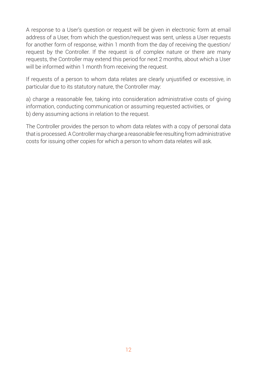A response to a User's question or request will be given in electronic form at email address of a User, from which the question/request was sent, unless a User requests for another form of response, within 1 month from the day of receiving the question/ request by the Controller. If the request is of complex nature or there are many requests, the Controller may extend this period for next 2 months, about which a User will be informed within 1 month from receiving the request.

If requests of a person to whom data relates are clearly unjustified or excessive, in particular due to its statutory nature, the Controller may:

a) charge a reasonable fee, taking into consideration administrative costs of giving information, conducting communication or assuming requested activities, or b) deny assuming actions in relation to the request.

The Controller provides the person to whom data relates with a copy of personal data that is processed. A Controller may charge a reasonable fee resulting from administrative costs for issuing other copies for which a person to whom data relates will ask.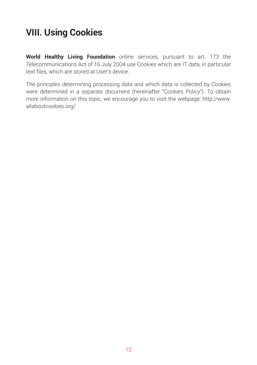### **VIII. Using Cookies**

**World Healthy Living Foundation** online services, pursuant to art. 173 the Telecommunications Act of 16 July 2004 use Cookies which are IT data, in particular text files, which are stored at User's device.

The principles determining processing data and which data is collected by Cookies were determined in a separate document (hereinafter "Cookies Policy"). To obtain more information on this topic, we encourage you to visit the webpage: http://www. allaboutcookies.org/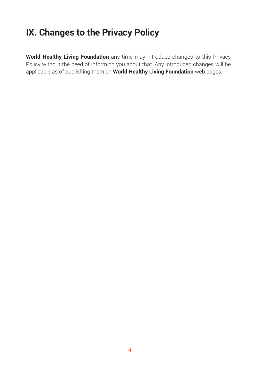### **IX. Changes to the Privacy Policy**

**World Healthy Living Foundation** any time may introduce changes to this Privacy Policy without the need of informing you about that. Any introduced changes will be applicable as of publishing them on **World Healthy Living Foundation** web pages.